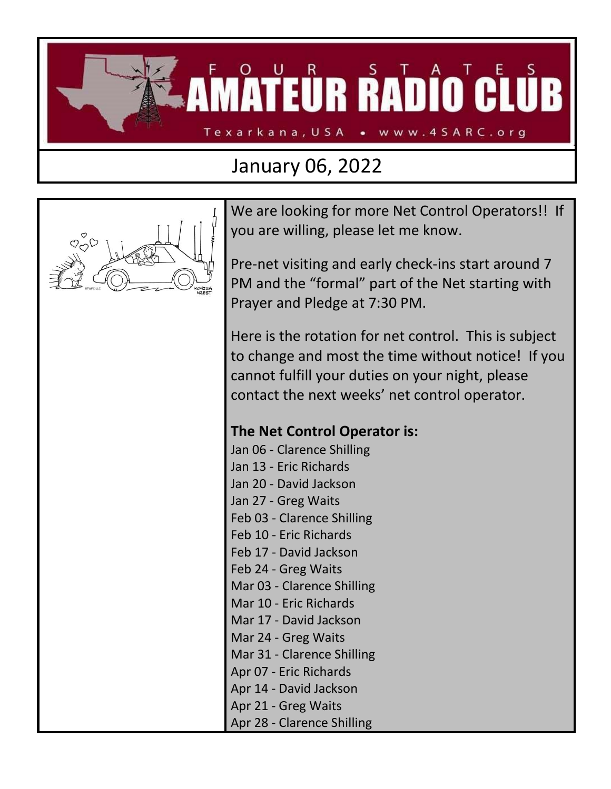

## January 06, 2022



We are looking for more Net Control Operators!! If you are willing, please let me know.

Pre-net visiting and early check-ins start around 7 PM and the "formal" part of the Net starting with Prayer and Pledge at 7:30 PM.

Here is the rotation for net control. This is subject to change and most the time without notice! If you cannot fulfill your duties on your night, please contact the next weeks' net control operator.

## **The Net Control Operator is:**

Jan 06 - Clarence Shilling Jan 13 - Eric Richards Jan 20 - David Jackson Jan 27 - Greg Waits Feb 03 - Clarence Shilling Feb 10 - Eric Richards Feb 17 - David Jackson Feb 24 - Greg Waits Mar 03 - Clarence Shilling Mar 10 - Eric Richards Mar 17 - David Jackson Mar 24 - Greg Waits Mar 31 - Clarence Shilling Apr 07 - Eric Richards Apr 14 - David Jackson Apr 21 - Greg Waits Apr 28 - Clarence Shilling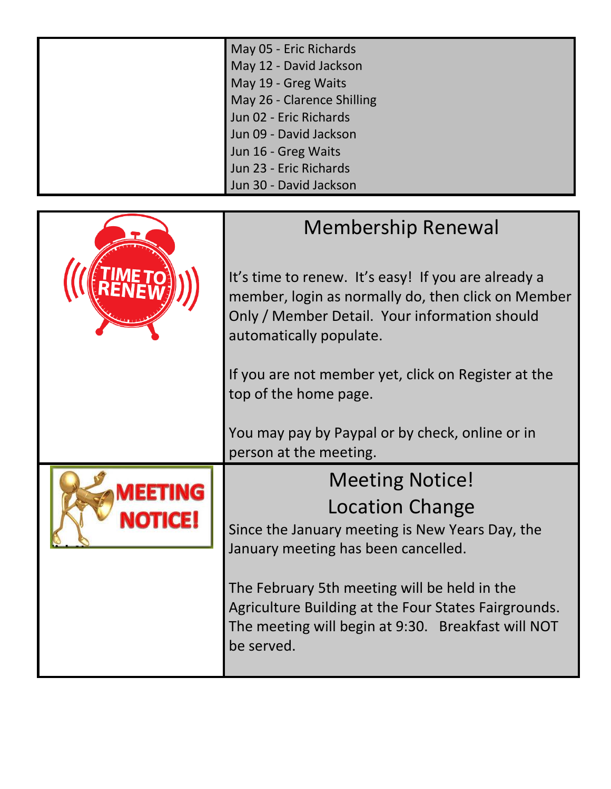| May 05 - Eric Richards     |
|----------------------------|
| May 12 - David Jackson     |
| May 19 - Greg Waits        |
| May 26 - Clarence Shilling |
| Jun 02 - Eric Richards     |
| Jun 09 - David Jackson     |
| Jun 16 - Greg Waits        |
| Jun 23 - Eric Richards     |
| Jun 30 - David Jackson     |

|  | <b>Membership Renewal</b><br>It's time to renew. It's easy! If you are already a<br>member, login as normally do, then click on Member<br>Only / Member Detail. Your information should<br>automatically populate. |  |  |  |
|--|--------------------------------------------------------------------------------------------------------------------------------------------------------------------------------------------------------------------|--|--|--|
|  |                                                                                                                                                                                                                    |  |  |  |
|  | If you are not member yet, click on Register at the<br>top of the home page.                                                                                                                                       |  |  |  |
|  | You may pay by Paypal or by check, online or in<br>person at the meeting.                                                                                                                                          |  |  |  |
|  | <b>Meeting Notice!</b>                                                                                                                                                                                             |  |  |  |
|  | <b>Location Change</b>                                                                                                                                                                                             |  |  |  |
|  | Since the January meeting is New Years Day, the<br>January meeting has been cancelled.                                                                                                                             |  |  |  |
|  | The February 5th meeting will be held in the<br>Agriculture Building at the Four States Fairgrounds.<br>The meeting will begin at 9:30. Breakfast will NOT<br>be served.                                           |  |  |  |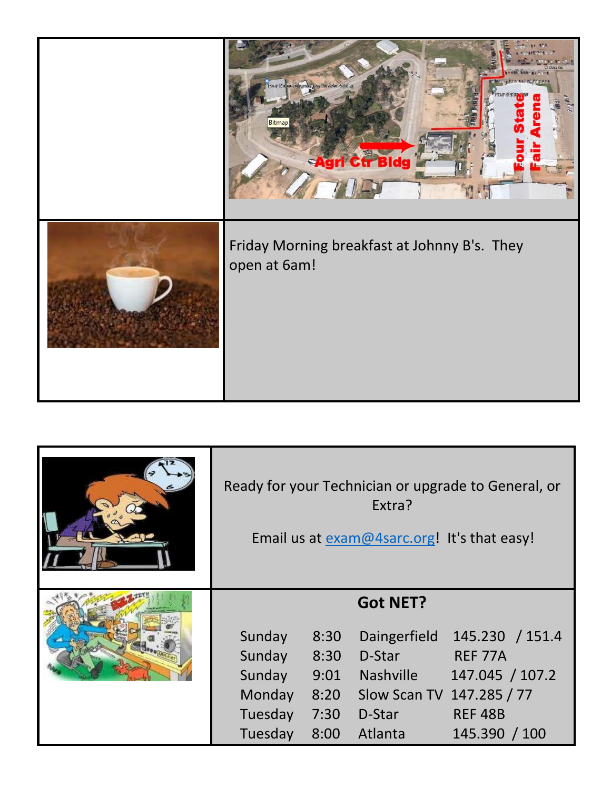| <b>12. 672</b><br><b>AFTITAGERS</b><br>.<br>Tuar Sister Februarida Pres <i>ide</i> n Bulah<br>Bitmar<br>Agri Ctr Bldg |
|-----------------------------------------------------------------------------------------------------------------------|
| Friday Morning breakfast at Johnny B's. They<br>open at 6am!                                                          |

| Ready for your Technician or upgrade to General, or<br>Extra?<br>Email us at exam@4sarc.org! It's that easy! |                                              |                                                                                                                 |                                                                                         |
|--------------------------------------------------------------------------------------------------------------|----------------------------------------------|-----------------------------------------------------------------------------------------------------------------|-----------------------------------------------------------------------------------------|
| Sunday<br>Sunday<br>Sunday<br>Monday<br>Tuesday<br>Tuesday                                                   | 8:30<br>8:30<br>9:01<br>8:20<br>7:30<br>8:00 | <b>Got NET?</b><br>Daingerfield<br>D-Star<br><b>Nashville</b><br>Slow Scan TV 147.285 / 77<br>D-Star<br>Atlanta | 145.230 / 151.4<br><b>REF 77A</b><br>147.045 / 107.2<br><b>REF 48B</b><br>145.390 / 100 |